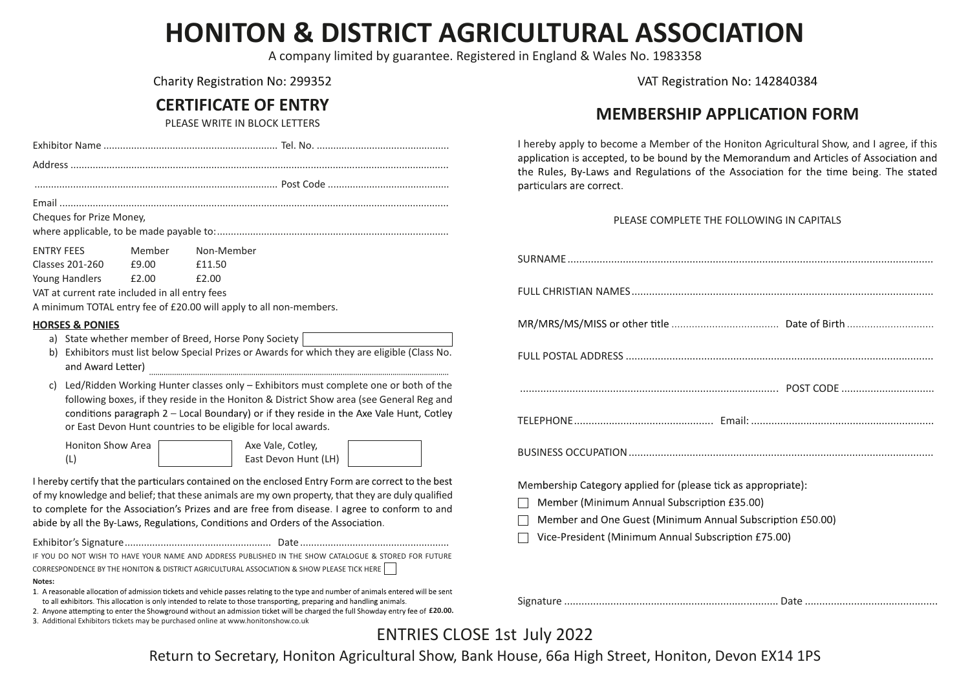# **HONITON & DISTRICT AGRICULTURAL ASSOCIATION**

A company limited by guarantee. Registered in England & Wales No. 1983358

Charity Registration No: 299352

# **CERTIFICATE OF ENTRY**

PLEASE WRITE IN BLOCK LETTERS

| Cheques for Prize Money,<br>Member<br>Non-Member<br>£9.00<br>£11.50<br>£2.00<br>£2.00<br>VAT at current rate included in all entry fees<br>A minimum TOTAL entry fee of £20.00 will apply to all non-members.<br>a) State whether member of Breed, Horse Pony Society<br>b) Exhibitors must list below Special Prizes or Awards for which they are eligible (Class No.<br>and Award Letter)<br>Led/Ridden Working Hunter classes only - Exhibitors must complete one or both of the<br>C)<br>following boxes, if they reside in the Honiton & District Show area (see General Reg and<br>conditions paragraph 2 - Local Boundary) or if they reside in the Axe Vale Hunt, Cotley<br>or East Devon Hunt countries to be eligible for local awards.<br><b>Honiton Show Area</b><br>Axe Vale, Cotley,<br>East Devon Hunt (LH)<br>(L)<br>I hereby certify that the particulars contained on the enclosed Entry Form are correct to the best<br>of my knowledge and belief; that these animals are my own property, that they are duly qualified<br>to complete for the Association's Prizes and are free from disease. I agree to conform to and<br>abide by all the By-Laws, Regulations, Conditions and Orders of the Association.<br>IF YOU DO NOT WISH TO HAVE YOUR NAME AND ADDRESS PUBLISHED IN THE SHOW CATALOGUE & STORED FOR FUTURE<br>CORRESPONDENCE BY THE HONITON & DISTRICT AGRICULTURAL ASSOCIATION & SHOW PLEASE TICK HERE<br>1. A reasonable allocation of admission tickets and vehicle passes relating to the type and number of animals entered will be sent<br>to all exhibitors. This allocation is only intended to relate to those transporting, preparing and handling animals.<br>2. Anyone attempting to enter the Showground without an admission ticket will be charged the full Showday entry fee of £20.00. |                            |  |
|---------------------------------------------------------------------------------------------------------------------------------------------------------------------------------------------------------------------------------------------------------------------------------------------------------------------------------------------------------------------------------------------------------------------------------------------------------------------------------------------------------------------------------------------------------------------------------------------------------------------------------------------------------------------------------------------------------------------------------------------------------------------------------------------------------------------------------------------------------------------------------------------------------------------------------------------------------------------------------------------------------------------------------------------------------------------------------------------------------------------------------------------------------------------------------------------------------------------------------------------------------------------------------------------------------------------------------------------------------------------------------------------------------------------------------------------------------------------------------------------------------------------------------------------------------------------------------------------------------------------------------------------------------------------------------------------------------------------------------------------------------------------------------------------------------------------------------------|----------------------------|--|
|                                                                                                                                                                                                                                                                                                                                                                                                                                                                                                                                                                                                                                                                                                                                                                                                                                                                                                                                                                                                                                                                                                                                                                                                                                                                                                                                                                                                                                                                                                                                                                                                                                                                                                                                                                                                                                       |                            |  |
|                                                                                                                                                                                                                                                                                                                                                                                                                                                                                                                                                                                                                                                                                                                                                                                                                                                                                                                                                                                                                                                                                                                                                                                                                                                                                                                                                                                                                                                                                                                                                                                                                                                                                                                                                                                                                                       |                            |  |
|                                                                                                                                                                                                                                                                                                                                                                                                                                                                                                                                                                                                                                                                                                                                                                                                                                                                                                                                                                                                                                                                                                                                                                                                                                                                                                                                                                                                                                                                                                                                                                                                                                                                                                                                                                                                                                       |                            |  |
|                                                                                                                                                                                                                                                                                                                                                                                                                                                                                                                                                                                                                                                                                                                                                                                                                                                                                                                                                                                                                                                                                                                                                                                                                                                                                                                                                                                                                                                                                                                                                                                                                                                                                                                                                                                                                                       |                            |  |
|                                                                                                                                                                                                                                                                                                                                                                                                                                                                                                                                                                                                                                                                                                                                                                                                                                                                                                                                                                                                                                                                                                                                                                                                                                                                                                                                                                                                                                                                                                                                                                                                                                                                                                                                                                                                                                       | <b>ENTRY FEES</b>          |  |
|                                                                                                                                                                                                                                                                                                                                                                                                                                                                                                                                                                                                                                                                                                                                                                                                                                                                                                                                                                                                                                                                                                                                                                                                                                                                                                                                                                                                                                                                                                                                                                                                                                                                                                                                                                                                                                       | <b>Classes 201-260</b>     |  |
|                                                                                                                                                                                                                                                                                                                                                                                                                                                                                                                                                                                                                                                                                                                                                                                                                                                                                                                                                                                                                                                                                                                                                                                                                                                                                                                                                                                                                                                                                                                                                                                                                                                                                                                                                                                                                                       | <b>Young Handlers</b>      |  |
|                                                                                                                                                                                                                                                                                                                                                                                                                                                                                                                                                                                                                                                                                                                                                                                                                                                                                                                                                                                                                                                                                                                                                                                                                                                                                                                                                                                                                                                                                                                                                                                                                                                                                                                                                                                                                                       |                            |  |
|                                                                                                                                                                                                                                                                                                                                                                                                                                                                                                                                                                                                                                                                                                                                                                                                                                                                                                                                                                                                                                                                                                                                                                                                                                                                                                                                                                                                                                                                                                                                                                                                                                                                                                                                                                                                                                       |                            |  |
|                                                                                                                                                                                                                                                                                                                                                                                                                                                                                                                                                                                                                                                                                                                                                                                                                                                                                                                                                                                                                                                                                                                                                                                                                                                                                                                                                                                                                                                                                                                                                                                                                                                                                                                                                                                                                                       | <b>HORSES &amp; PONIES</b> |  |
|                                                                                                                                                                                                                                                                                                                                                                                                                                                                                                                                                                                                                                                                                                                                                                                                                                                                                                                                                                                                                                                                                                                                                                                                                                                                                                                                                                                                                                                                                                                                                                                                                                                                                                                                                                                                                                       |                            |  |
|                                                                                                                                                                                                                                                                                                                                                                                                                                                                                                                                                                                                                                                                                                                                                                                                                                                                                                                                                                                                                                                                                                                                                                                                                                                                                                                                                                                                                                                                                                                                                                                                                                                                                                                                                                                                                                       |                            |  |
|                                                                                                                                                                                                                                                                                                                                                                                                                                                                                                                                                                                                                                                                                                                                                                                                                                                                                                                                                                                                                                                                                                                                                                                                                                                                                                                                                                                                                                                                                                                                                                                                                                                                                                                                                                                                                                       |                            |  |
|                                                                                                                                                                                                                                                                                                                                                                                                                                                                                                                                                                                                                                                                                                                                                                                                                                                                                                                                                                                                                                                                                                                                                                                                                                                                                                                                                                                                                                                                                                                                                                                                                                                                                                                                                                                                                                       |                            |  |
|                                                                                                                                                                                                                                                                                                                                                                                                                                                                                                                                                                                                                                                                                                                                                                                                                                                                                                                                                                                                                                                                                                                                                                                                                                                                                                                                                                                                                                                                                                                                                                                                                                                                                                                                                                                                                                       |                            |  |
|                                                                                                                                                                                                                                                                                                                                                                                                                                                                                                                                                                                                                                                                                                                                                                                                                                                                                                                                                                                                                                                                                                                                                                                                                                                                                                                                                                                                                                                                                                                                                                                                                                                                                                                                                                                                                                       |                            |  |
|                                                                                                                                                                                                                                                                                                                                                                                                                                                                                                                                                                                                                                                                                                                                                                                                                                                                                                                                                                                                                                                                                                                                                                                                                                                                                                                                                                                                                                                                                                                                                                                                                                                                                                                                                                                                                                       |                            |  |
|                                                                                                                                                                                                                                                                                                                                                                                                                                                                                                                                                                                                                                                                                                                                                                                                                                                                                                                                                                                                                                                                                                                                                                                                                                                                                                                                                                                                                                                                                                                                                                                                                                                                                                                                                                                                                                       |                            |  |
|                                                                                                                                                                                                                                                                                                                                                                                                                                                                                                                                                                                                                                                                                                                                                                                                                                                                                                                                                                                                                                                                                                                                                                                                                                                                                                                                                                                                                                                                                                                                                                                                                                                                                                                                                                                                                                       |                            |  |
|                                                                                                                                                                                                                                                                                                                                                                                                                                                                                                                                                                                                                                                                                                                                                                                                                                                                                                                                                                                                                                                                                                                                                                                                                                                                                                                                                                                                                                                                                                                                                                                                                                                                                                                                                                                                                                       |                            |  |
|                                                                                                                                                                                                                                                                                                                                                                                                                                                                                                                                                                                                                                                                                                                                                                                                                                                                                                                                                                                                                                                                                                                                                                                                                                                                                                                                                                                                                                                                                                                                                                                                                                                                                                                                                                                                                                       |                            |  |
|                                                                                                                                                                                                                                                                                                                                                                                                                                                                                                                                                                                                                                                                                                                                                                                                                                                                                                                                                                                                                                                                                                                                                                                                                                                                                                                                                                                                                                                                                                                                                                                                                                                                                                                                                                                                                                       |                            |  |
|                                                                                                                                                                                                                                                                                                                                                                                                                                                                                                                                                                                                                                                                                                                                                                                                                                                                                                                                                                                                                                                                                                                                                                                                                                                                                                                                                                                                                                                                                                                                                                                                                                                                                                                                                                                                                                       |                            |  |
|                                                                                                                                                                                                                                                                                                                                                                                                                                                                                                                                                                                                                                                                                                                                                                                                                                                                                                                                                                                                                                                                                                                                                                                                                                                                                                                                                                                                                                                                                                                                                                                                                                                                                                                                                                                                                                       |                            |  |
|                                                                                                                                                                                                                                                                                                                                                                                                                                                                                                                                                                                                                                                                                                                                                                                                                                                                                                                                                                                                                                                                                                                                                                                                                                                                                                                                                                                                                                                                                                                                                                                                                                                                                                                                                                                                                                       |                            |  |
|                                                                                                                                                                                                                                                                                                                                                                                                                                                                                                                                                                                                                                                                                                                                                                                                                                                                                                                                                                                                                                                                                                                                                                                                                                                                                                                                                                                                                                                                                                                                                                                                                                                                                                                                                                                                                                       |                            |  |
|                                                                                                                                                                                                                                                                                                                                                                                                                                                                                                                                                                                                                                                                                                                                                                                                                                                                                                                                                                                                                                                                                                                                                                                                                                                                                                                                                                                                                                                                                                                                                                                                                                                                                                                                                                                                                                       | Notes:                     |  |
|                                                                                                                                                                                                                                                                                                                                                                                                                                                                                                                                                                                                                                                                                                                                                                                                                                                                                                                                                                                                                                                                                                                                                                                                                                                                                                                                                                                                                                                                                                                                                                                                                                                                                                                                                                                                                                       |                            |  |
| 3. Additional Exhibitors tickets may be purchased online at www.honitonshow.co.uk                                                                                                                                                                                                                                                                                                                                                                                                                                                                                                                                                                                                                                                                                                                                                                                                                                                                                                                                                                                                                                                                                                                                                                                                                                                                                                                                                                                                                                                                                                                                                                                                                                                                                                                                                     |                            |  |

VAT Registration No: 142840384

## **MEMBERSHIP APPLICATION FORM**

I hereby apply to become a Member of the Honiton Agricultural Show, and I agree, if this application is accepted, to be bound by the Memorandum and Articles of Association and the Rules, By-Laws and Regulations of the Association for the time being. The stated particulars are correct.

#### PLEASE COMPLETE THE FOLLOWING IN CAPITALS

| Membership Category applied for (please tick as appropriate):<br>Member (Minimum Annual Subscription £35.00)<br>Member and One Guest (Minimum Annual Subscription £50.00)<br>Vice-President (Minimum Annual Subscription £75.00) |
|----------------------------------------------------------------------------------------------------------------------------------------------------------------------------------------------------------------------------------|

Signature .......................................................................... Date ..............................................

ENTRIES CLOSE 1st July 2022

Return to Secretary, Honiton Agricultural Show, Bank House, 66a High Street, Honiton, Devon EX14 1PS